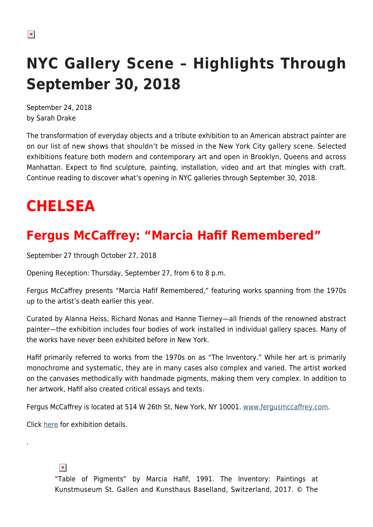# **NYC Gallery Scene – Highlights Through September 30, 2018**

September 24, 2018 by Sarah Drake

The transformation of everyday objects and a tribute exhibition to an American abstract painter are on our list of new shows that shouldn't be missed in the New York City gallery scene. Selected exhibitions feature both modern and contemporary art and open in Brooklyn, Queens and across Manhattan. Expect to find sculpture, painting, installation, video and art that mingles with craft. Continue reading to discover what's opening in NYC galleries through September 30, 2018.

# **CHELSEA**

### **Fergus McCaffrey: "Marcia Hafif Remembered"**

September 27 through October 27, 2018

Opening Reception: Thursday, September 27, from 6 to 8 p.m.

Fergus McCaffrey presents "Marcia Hafif Remembered," featuring works spanning from the 1970s up to the artist's death earlier this year.

Curated by Alanna Heiss, Richard Nonas and Hanne Tierney—all friends of the renowned abstract painter—the exhibition includes four bodies of work installed in individual gallery spaces. Many of the works have never been exhibited before in New York.

Hafif primarily referred to works from the 1970s on as "The Inventory." While her art is primarily monochrome and systematic, they are in many cases also complex and varied. The artist worked on the canvases methodically with handmade pigments, making them very complex. In addition to her artwork, Hafif also created critical essays and texts.

Fergus McCaffrey is located at 514 W 26th St, New York, NY 10001. [www.fergusmccaffrey.com.](http://www.fergusmccaffrey.com)

Click [here](http://fergusmccaffrey.com/exhibition/marcia-hafif/) for exhibition details.

 $\pmb{\times}$ 

.

"Table of Pigments" by Marcia Hafif, 1991. The Inventory: Paintings at Kunstmuseum St. Gallen and Kunsthaus Baselland, Switzerland, 2017. © The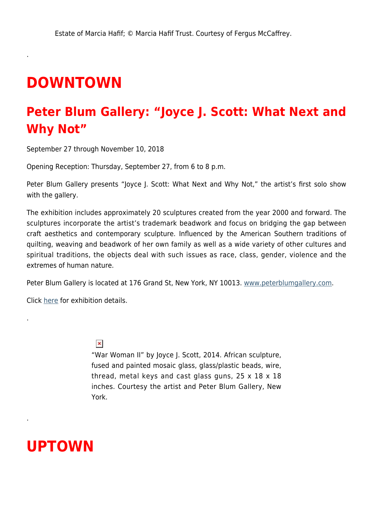## **DOWNTOWN**

.

.

.

#### **Peter Blum Gallery: "Joyce J. Scott: What Next and Why Not"**

September 27 through November 10, 2018

Opening Reception: Thursday, September 27, from 6 to 8 p.m.

Peter Blum Gallery presents "Joyce J. Scott: What Next and Why Not," the artist's first solo show with the gallery.

The exhibition includes approximately 20 sculptures created from the year 2000 and forward. The sculptures incorporate the artist's trademark beadwork and focus on bridging the gap between craft aesthetics and contemporary sculpture. Influenced by the American Southern traditions of quilting, weaving and beadwork of her own family as well as a wide variety of other cultures and spiritual traditions, the objects deal with such issues as race, class, gender, violence and the extremes of human nature.

Peter Blum Gallery is located at 176 Grand St, New York, NY 10013. [www.peterblumgallery.com.](http://www.peterblumgallery.com/)

Click [here](http://www.peterblumgallery.com/exhibitions/what-next-and-why-not) for exhibition details.

#### $\pmb{\times}$

"War Woman II" by Joyce J. Scott, 2014. African sculpture, fused and painted mosaic glass, glass/plastic beads, wire, thread, metal keys and cast glass guns, 25 x 18 x 18 inches. Courtesy the artist and Peter Blum Gallery, New York.

## **UPTOWN**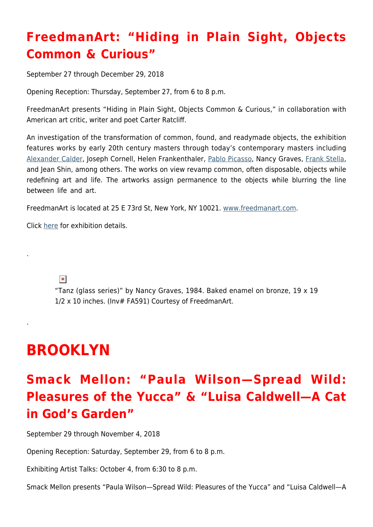## **FreedmanArt: "Hiding in Plain Sight, Objects Common & Curious"**

September 27 through December 29, 2018

Opening Reception: Thursday, September 27, from 6 to 8 p.m.

FreedmanArt presents "Hiding in Plain Sight, Objects Common & Curious," in collaboration with American art critic, writer and poet Carter Ratcliff.

An investigation of the transformation of common, found, and readymade objects, the exhibition features works by early 20th century masters through today's contemporary masters including [Alexander Calder,](https://hamptonsarthub.com/2013/05/10/alexander-calders-mobiles-come-to-life-in-film-by-roger-sherman/) Joseph Cornell, Helen Frankenthaler, [Pablo Picasso,](https://hamptonsarthub.com/2015/09/16/art-review-must-see-picasso-sculpture-show-at-moma/) Nancy Graves, [Frank Stella,](https://hamptonsarthub.com/2015/11/16/retrospective-at-whitney-reveals-frank-stellas-dilemma/) and Jean Shin, among others. The works on view revamp common, often disposable, objects while redefining art and life. The artworks assign permanence to the objects while blurring the line between life and art.

FreedmanArt is located at 25 E 73rd St, New York, NY 10021. [www.freedmanart.com.](http://freedmanart.com/)

Click [here](http://freedmanart.com/exhibitions/hiding-in-plain-sight/news) for exhibition details.

 $\pmb{\times}$ 

.

.

"Tanz (glass series)" by Nancy Graves, 1984. Baked enamel on bronze, 19 x 19 1/2 x 10 inches. (Inv# FA591) Courtesy of FreedmanArt.

# **BROOKLYN**

## **Smack Mellon: "Paula Wilson—Spread Wild: Pleasures of the Yucca" & "Luisa Caldwell—A Cat in God's Garden"**

September 29 through November 4, 2018

Opening Reception: Saturday, September 29, from 6 to 8 p.m.

Exhibiting Artist Talks: October 4, from 6:30 to 8 p.m.

Smack Mellon presents "Paula Wilson—Spread Wild: Pleasures of the Yucca" and "Luisa Caldwell—A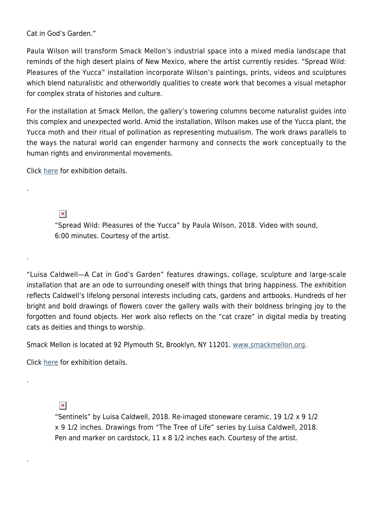Cat in God's Garden."

Paula Wilson will transform Smack Mellon's industrial space into a mixed media landscape that reminds of the high desert plains of New Mexico, where the artist currently resides. "Spread Wild: Pleasures of the Yucca" installation incorporate Wilson's paintings, prints, videos and sculptures which blend naturalistic and otherworldly qualities to create work that becomes a visual metaphor for complex strata of histories and culture.

For the installation at Smack Mellon, the gallery's towering columns become naturalist guides into this complex and unexpected world. Amid the installation, Wilson makes use of the Yucca plant, the Yucca moth and their ritual of pollination as representing mutualism. The work draws parallels to the ways the natural world can engender harmony and connects the work conceptually to the human rights and environmental movements.

Click [here](http://smackmellon.org/index.php/exhibitions/current1/2018-paula-wilsom/) for exhibition details.

 $\pmb{\times}$ 

.

.

.

.

"Spread Wild: Pleasures of the Yucca" by Paula Wilson, 2018. Video with sound, 6:00 minutes. Courtesy of the artist.

"Luisa Caldwell—A Cat in God's Garden" features drawings, collage, sculpture and large-scale installation that are an ode to surrounding oneself with things that bring happiness. The exhibition reflects Caldwell's lifelong personal interests including cats, gardens and artbooks. Hundreds of her bright and bold drawings of flowers cover the gallery walls with their boldness bringing joy to the forgotten and found objects. Her work also reflects on the "cat craze" in digital media by treating cats as deities and things to worship.

Smack Mellon is located at 92 Plymouth St, Brooklyn, NY 11201. [www.smackmellon.org.](http://smackmellon.org/)

Click [here](http://smackmellon.org/index.php/exhibitions/current1/2018-luisa-caldwell/) for exhibition details.

 $\pmb{\times}$ 

"Sentinels" by Luisa Caldwell, 2018. Re-imaged stoneware ceramic, 19 1/2 x 9 1/2 x 9 1/2 inches. Drawings from "The Tree of Life" series by Luisa Caldwell, 2018. Pen and marker on cardstock, 11 x 8 1/2 inches each. Courtesy of the artist.